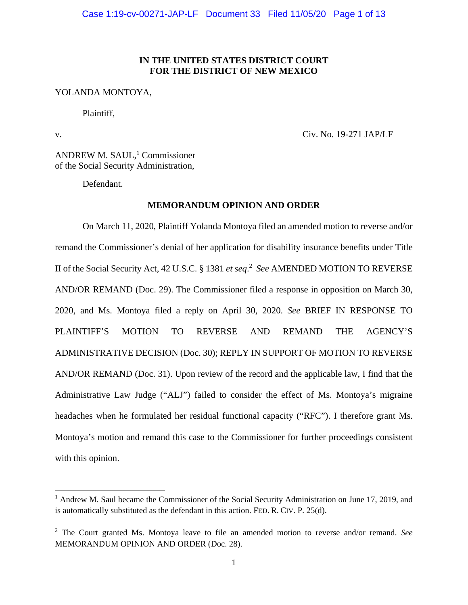### **IN THE UNITED STATES DISTRICT COURT FOR THE DISTRICT OF NEW MEXICO**

### YOLANDA MONTOYA,

Plaintiff,

v. Civ. No. 19-271 JAP/LF

ANDREW M. SAUL,<sup>1</sup> Commissioner of the Social Security Administration,

Defendant.

#### **MEMORANDUM OPINION AND ORDER**

On March 11, 2020, Plaintiff Yolanda Montoya filed an amended motion to reverse and/or remand the Commissioner's denial of her application for disability insurance benefits under Title II of the Social Security Act, 42 U.S.C. § 1381 *et seq*. 2 *See* AMENDED MOTION TO REVERSE AND/OR REMAND (Doc. 29). The Commissioner filed a response in opposition on March 30, 2020, and Ms. Montoya filed a reply on April 30, 2020. *See* BRIEF IN RESPONSE TO PLAINTIFF'S MOTION TO REVERSE AND REMAND THE AGENCY'S ADMINISTRATIVE DECISION (Doc. 30); REPLY IN SUPPORT OF MOTION TO REVERSE AND/OR REMAND (Doc. 31). Upon review of the record and the applicable law, I find that the Administrative Law Judge ("ALJ") failed to consider the effect of Ms. Montoya's migraine headaches when he formulated her residual functional capacity ("RFC"). I therefore grant Ms. Montoya's motion and remand this case to the Commissioner for further proceedings consistent with this opinion.

<sup>&</sup>lt;sup>1</sup> Andrew M. Saul became the Commissioner of the Social Security Administration on June 17, 2019, and is automatically substituted as the defendant in this action. FED. R. CIV. P. 25(d).

<sup>2</sup> The Court granted Ms. Montoya leave to file an amended motion to reverse and/or remand. *See* MEMORANDUM OPINION AND ORDER (Doc. 28).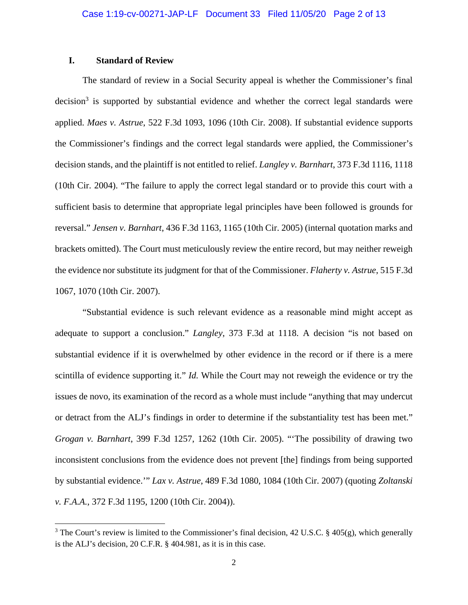### **I. Standard of Review**

The standard of review in a Social Security appeal is whether the Commissioner's final decision<sup>3</sup> is supported by substantial evidence and whether the correct legal standards were applied. *Maes v. Astrue*, 522 F.3d 1093, 1096 (10th Cir. 2008). If substantial evidence supports the Commissioner's findings and the correct legal standards were applied, the Commissioner's decision stands, and the plaintiff is not entitled to relief. *Langley v. Barnhart*, 373 F.3d 1116, 1118 (10th Cir. 2004). "The failure to apply the correct legal standard or to provide this court with a sufficient basis to determine that appropriate legal principles have been followed is grounds for reversal." *Jensen v. Barnhart*, 436 F.3d 1163, 1165 (10th Cir. 2005) (internal quotation marks and brackets omitted). The Court must meticulously review the entire record, but may neither reweigh the evidence nor substitute its judgment for that of the Commissioner. *Flaherty v. Astrue*, 515 F.3d 1067, 1070 (10th Cir. 2007).

"Substantial evidence is such relevant evidence as a reasonable mind might accept as adequate to support a conclusion." *Langley*, 373 F.3d at 1118. A decision "is not based on substantial evidence if it is overwhelmed by other evidence in the record or if there is a mere scintilla of evidence supporting it." *Id.* While the Court may not reweigh the evidence or try the issues de novo, its examination of the record as a whole must include "anything that may undercut or detract from the ALJ's findings in order to determine if the substantiality test has been met." *Grogan v. Barnhart*, 399 F.3d 1257, 1262 (10th Cir. 2005). "'The possibility of drawing two inconsistent conclusions from the evidence does not prevent [the] findings from being supported by substantial evidence.'" *Lax v. Astrue*, 489 F.3d 1080, 1084 (10th Cir. 2007) (quoting *Zoltanski v. F.A.A.*, 372 F.3d 1195, 1200 (10th Cir. 2004)).

<sup>&</sup>lt;sup>3</sup> The Court's review is limited to the Commissioner's final decision, 42 U.S.C. § 405(g), which generally is the ALJ's decision, 20 C.F.R. § 404.981, as it is in this case.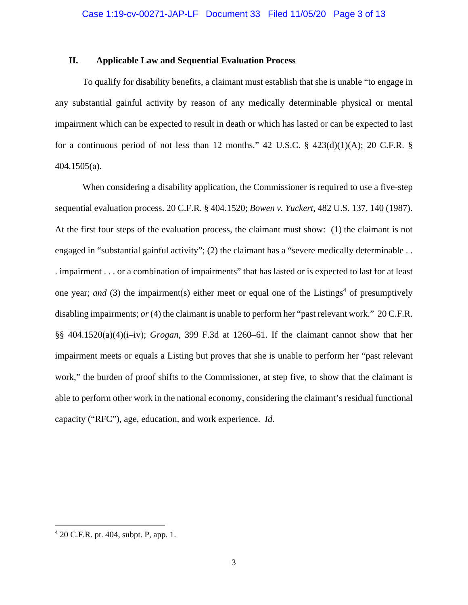#### **II. Applicable Law and Sequential Evaluation Process**

To qualify for disability benefits, a claimant must establish that she is unable "to engage in any substantial gainful activity by reason of any medically determinable physical or mental impairment which can be expected to result in death or which has lasted or can be expected to last for a continuous period of not less than 12 months." 42 U.S.C.  $\S$  423(d)(1)(A); 20 C.F.R.  $\S$ 404.1505(a).

When considering a disability application, the Commissioner is required to use a five-step sequential evaluation process. 20 C.F.R. § 404.1520; *Bowen v. Yuckert*, 482 U.S. 137, 140 (1987). At the first four steps of the evaluation process, the claimant must show: (1) the claimant is not engaged in "substantial gainful activity"; (2) the claimant has a "severe medically determinable . . . impairment . . . or a combination of impairments" that has lasted or is expected to last for at least one year; *and* (3) the impairment(s) either meet or equal one of the Listings<sup>4</sup> of presumptively disabling impairments; *or* (4) the claimant is unable to perform her "past relevant work." 20 C.F.R. §§ 404.1520(a)(4)(i–iv); *Grogan*, 399 F.3d at 1260–61. If the claimant cannot show that her impairment meets or equals a Listing but proves that she is unable to perform her "past relevant work," the burden of proof shifts to the Commissioner, at step five, to show that the claimant is able to perform other work in the national economy, considering the claimant's residual functional capacity ("RFC"), age, education, and work experience. *Id.* 

<sup>4</sup> 20 C.F.R. pt. 404, subpt. P, app. 1.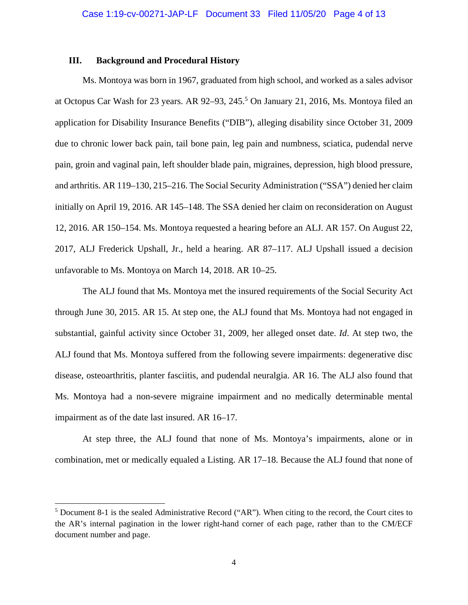#### **III. Background and Procedural History**

Ms. Montoya was born in 1967, graduated from high school, and worked as a sales advisor at Octopus Car Wash for 23 years. AR 92–93, 245.<sup>5</sup> On January 21, 2016, Ms. Montoya filed an application for Disability Insurance Benefits ("DIB"), alleging disability since October 31, 2009 due to chronic lower back pain, tail bone pain, leg pain and numbness, sciatica, pudendal nerve pain, groin and vaginal pain, left shoulder blade pain, migraines, depression, high blood pressure, and arthritis. AR 119–130, 215–216. The Social Security Administration ("SSA") denied her claim initially on April 19, 2016. AR 145–148. The SSA denied her claim on reconsideration on August 12, 2016. AR 150–154. Ms. Montoya requested a hearing before an ALJ. AR 157. On August 22, 2017, ALJ Frederick Upshall, Jr., held a hearing. AR 87–117. ALJ Upshall issued a decision unfavorable to Ms. Montoya on March 14, 2018. AR 10–25.

The ALJ found that Ms. Montoya met the insured requirements of the Social Security Act through June 30, 2015. AR 15. At step one, the ALJ found that Ms. Montoya had not engaged in substantial, gainful activity since October 31, 2009, her alleged onset date. *Id*. At step two, the ALJ found that Ms. Montoya suffered from the following severe impairments: degenerative disc disease, osteoarthritis, planter fasciitis, and pudendal neuralgia. AR 16. The ALJ also found that Ms. Montoya had a non-severe migraine impairment and no medically determinable mental impairment as of the date last insured. AR 16–17.

At step three, the ALJ found that none of Ms. Montoya's impairments, alone or in combination, met or medically equaled a Listing. AR 17–18. Because the ALJ found that none of

 $<sup>5</sup>$  Document 8-1 is the sealed Administrative Record ("AR"). When citing to the record, the Court cites to</sup> the AR's internal pagination in the lower right-hand corner of each page, rather than to the CM/ECF document number and page.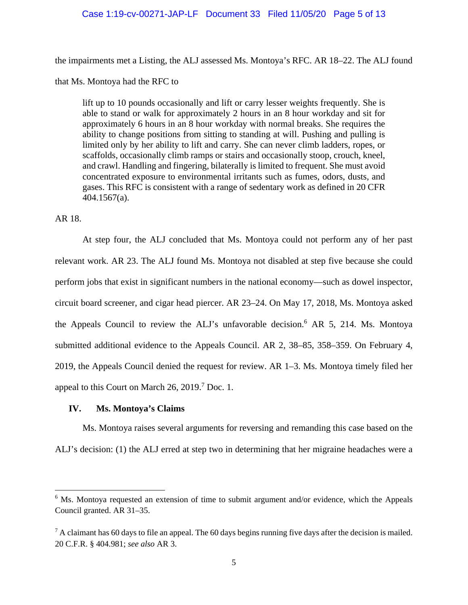### Case 1:19-cv-00271-JAP-LF Document 33 Filed 11/05/20 Page 5 of 13

the impairments met a Listing, the ALJ assessed Ms. Montoya's RFC. AR 18–22. The ALJ found

that Ms. Montoya had the RFC to

lift up to 10 pounds occasionally and lift or carry lesser weights frequently. She is able to stand or walk for approximately 2 hours in an 8 hour workday and sit for approximately 6 hours in an 8 hour workday with normal breaks. She requires the ability to change positions from sitting to standing at will. Pushing and pulling is limited only by her ability to lift and carry. She can never climb ladders, ropes, or scaffolds, occasionally climb ramps or stairs and occasionally stoop, crouch, kneel, and crawl. Handling and fingering, bilaterally is limited to frequent. She must avoid concentrated exposure to environmental irritants such as fumes, odors, dusts, and gases. This RFC is consistent with a range of sedentary work as defined in 20 CFR 404.1567(a).

# AR 18.

At step four, the ALJ concluded that Ms. Montoya could not perform any of her past relevant work. AR 23. The ALJ found Ms. Montoya not disabled at step five because she could perform jobs that exist in significant numbers in the national economy—such as dowel inspector, circuit board screener, and cigar head piercer. AR 23–24. On May 17, 2018, Ms. Montoya asked the Appeals Council to review the ALJ's unfavorable decision.<sup>6</sup> AR 5, 214. Ms. Montoya submitted additional evidence to the Appeals Council. AR 2, 38–85, 358–359. On February 4, 2019, the Appeals Council denied the request for review. AR 1–3. Ms. Montoya timely filed her appeal to this Court on March  $26$ ,  $2019$ .<sup>7</sup> Doc. 1.

### **IV. Ms. Montoya's Claims**

Ms. Montoya raises several arguments for reversing and remanding this case based on the ALJ's decision: (1) the ALJ erred at step two in determining that her migraine headaches were a

<sup>&</sup>lt;sup>6</sup> Ms. Montoya requested an extension of time to submit argument and/or evidence, which the Appeals Council granted. AR 31–35.

 $<sup>7</sup>$  A claimant has 60 days to file an appeal. The 60 days begins running five days after the decision is mailed.</sup> 20 C.F.R. § 404.981; *see also* AR 3.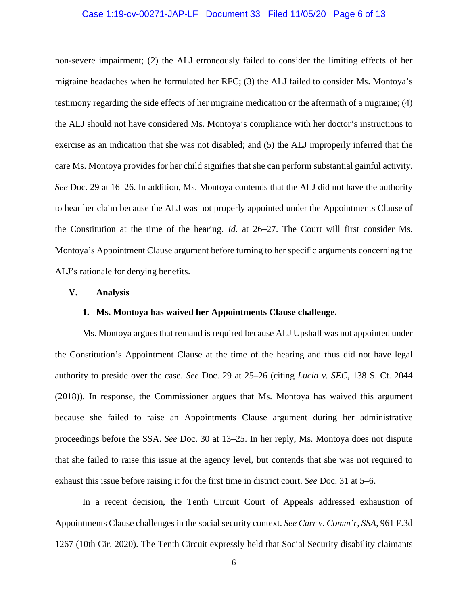#### Case 1:19-cv-00271-JAP-LF Document 33 Filed 11/05/20 Page 6 of 13

non-severe impairment; (2) the ALJ erroneously failed to consider the limiting effects of her migraine headaches when he formulated her RFC; (3) the ALJ failed to consider Ms. Montoya's testimony regarding the side effects of her migraine medication or the aftermath of a migraine; (4) the ALJ should not have considered Ms. Montoya's compliance with her doctor's instructions to exercise as an indication that she was not disabled; and (5) the ALJ improperly inferred that the care Ms. Montoya provides for her child signifies that she can perform substantial gainful activity. *See* Doc. 29 at 16–26. In addition, Ms. Montoya contends that the ALJ did not have the authority to hear her claim because the ALJ was not properly appointed under the Appointments Clause of the Constitution at the time of the hearing. *Id*. at 26–27. The Court will first consider Ms. Montoya's Appointment Clause argument before turning to her specific arguments concerning the ALJ's rationale for denying benefits.

#### **V. Analysis**

#### **1. Ms. Montoya has waived her Appointments Clause challenge.**

Ms. Montoya argues that remand is required because ALJ Upshall was not appointed under the Constitution's Appointment Clause at the time of the hearing and thus did not have legal authority to preside over the case. *See* Doc. 29 at 25–26 (citing *Lucia v. SEC*, 138 S. Ct. 2044 (2018)). In response, the Commissioner argues that Ms. Montoya has waived this argument because she failed to raise an Appointments Clause argument during her administrative proceedings before the SSA. *See* Doc. 30 at 13–25. In her reply, Ms. Montoya does not dispute that she failed to raise this issue at the agency level, but contends that she was not required to exhaust this issue before raising it for the first time in district court. *See* Doc. 31 at 5–6.

In a recent decision, the Tenth Circuit Court of Appeals addressed exhaustion of Appointments Clause challenges in the social security context. *See Carr v. Comm'r, SSA*, 961 F.3d 1267 (10th Cir. 2020). The Tenth Circuit expressly held that Social Security disability claimants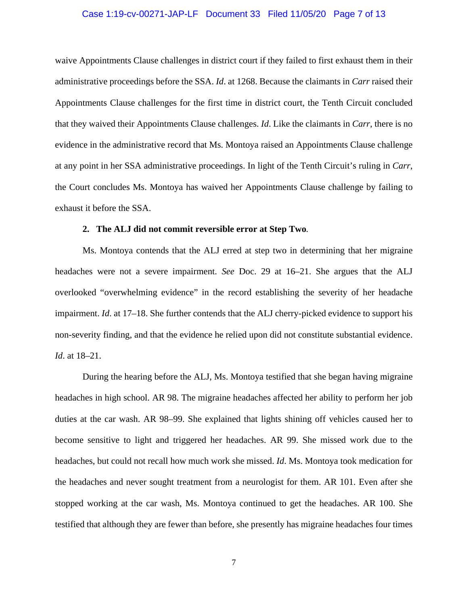#### Case 1:19-cv-00271-JAP-LF Document 33 Filed 11/05/20 Page 7 of 13

waive Appointments Clause challenges in district court if they failed to first exhaust them in their administrative proceedings before the SSA. *Id*. at 1268. Because the claimants in *Carr* raised their Appointments Clause challenges for the first time in district court, the Tenth Circuit concluded that they waived their Appointments Clause challenges. *Id*. Like the claimants in *Carr*, there is no evidence in the administrative record that Ms. Montoya raised an Appointments Clause challenge at any point in her SSA administrative proceedings. In light of the Tenth Circuit's ruling in *Carr*, the Court concludes Ms. Montoya has waived her Appointments Clause challenge by failing to exhaust it before the SSA.

#### **2. The ALJ did not commit reversible error at Step Two***.*

Ms. Montoya contends that the ALJ erred at step two in determining that her migraine headaches were not a severe impairment. *See* Doc. 29 at 16–21. She argues that the ALJ overlooked "overwhelming evidence" in the record establishing the severity of her headache impairment. *Id*. at 17–18. She further contends that the ALJ cherry-picked evidence to support his non-severity finding, and that the evidence he relied upon did not constitute substantial evidence. *Id*. at 18–21.

During the hearing before the ALJ, Ms. Montoya testified that she began having migraine headaches in high school. AR 98. The migraine headaches affected her ability to perform her job duties at the car wash. AR 98–99. She explained that lights shining off vehicles caused her to become sensitive to light and triggered her headaches. AR 99. She missed work due to the headaches, but could not recall how much work she missed. *Id*. Ms. Montoya took medication for the headaches and never sought treatment from a neurologist for them. AR 101. Even after she stopped working at the car wash, Ms. Montoya continued to get the headaches. AR 100. She testified that although they are fewer than before, she presently has migraine headaches four times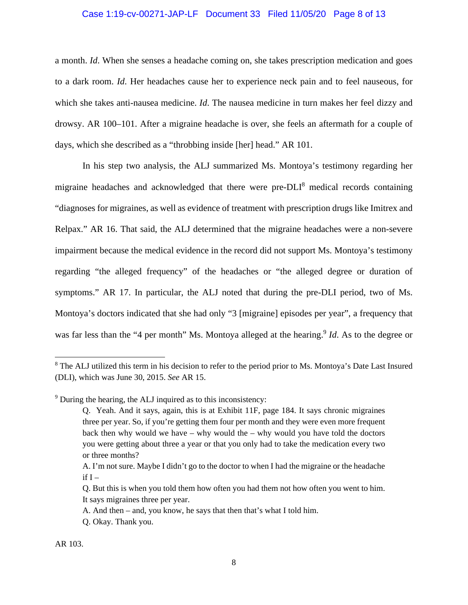### Case 1:19-cv-00271-JAP-LF Document 33 Filed 11/05/20 Page 8 of 13

a month. *Id*. When she senses a headache coming on, she takes prescription medication and goes to a dark room. *Id*. Her headaches cause her to experience neck pain and to feel nauseous, for which she takes anti-nausea medicine. *Id*. The nausea medicine in turn makes her feel dizzy and drowsy. AR 100–101. After a migraine headache is over, she feels an aftermath for a couple of days, which she described as a "throbbing inside [her] head." AR 101.

In his step two analysis, the ALJ summarized Ms. Montoya's testimony regarding her migraine headaches and acknowledged that there were pre-DLI<sup>8</sup> medical records containing "diagnoses for migraines, as well as evidence of treatment with prescription drugs like Imitrex and Relpax." AR 16. That said, the ALJ determined that the migraine headaches were a non-severe impairment because the medical evidence in the record did not support Ms. Montoya's testimony regarding "the alleged frequency" of the headaches or "the alleged degree or duration of symptoms." AR 17. In particular, the ALJ noted that during the pre-DLI period, two of Ms. Montoya's doctors indicated that she had only "3 [migraine] episodes per year", a frequency that was far less than the "4 per month" Ms. Montoya alleged at the hearing.<sup>9</sup> *Id*. As to the degree or

<sup>&</sup>lt;sup>8</sup> The ALJ utilized this term in his decision to refer to the period prior to Ms. Montoya's Date Last Insured (DLI), which was June 30, 2015. *See* AR 15.

<sup>&</sup>lt;sup>9</sup> During the hearing, the ALJ inquired as to this inconsistency:

Q. Yeah. And it says, again, this is at Exhibit 11F, page 184. It says chronic migraines three per year. So, if you're getting them four per month and they were even more frequent back then why would we have  $-$  why would the  $-$  why would you have told the doctors you were getting about three a year or that you only had to take the medication every two or three months?

A. I'm not sure. Maybe I didn't go to the doctor to when I had the migraine or the headache  $if I -$ 

Q. But this is when you told them how often you had them not how often you went to him. It says migraines three per year.

A. And then – and, you know, he says that then that's what I told him.

Q. Okay. Thank you.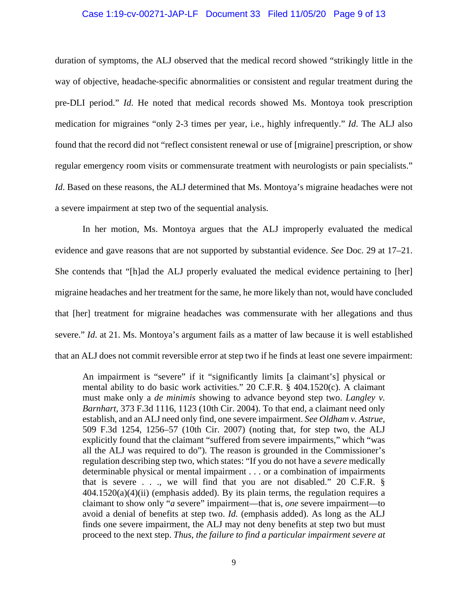#### Case 1:19-cv-00271-JAP-LF Document 33 Filed 11/05/20 Page 9 of 13

duration of symptoms, the ALJ observed that the medical record showed "strikingly little in the way of objective, headache-specific abnormalities or consistent and regular treatment during the pre-DLI period." *Id*. He noted that medical records showed Ms. Montoya took prescription medication for migraines "only 2-3 times per year, i.e., highly infrequently." *Id*. The ALJ also found that the record did not "reflect consistent renewal or use of [migraine] prescription, or show regular emergency room visits or commensurate treatment with neurologists or pain specialists." *Id*. Based on these reasons, the ALJ determined that Ms. Montoya's migraine headaches were not a severe impairment at step two of the sequential analysis.

In her motion, Ms. Montoya argues that the ALJ improperly evaluated the medical evidence and gave reasons that are not supported by substantial evidence. *See* Doc. 29 at 17–21. She contends that "[h]ad the ALJ properly evaluated the medical evidence pertaining to [her] migraine headaches and her treatment for the same, he more likely than not, would have concluded that [her] treatment for migraine headaches was commensurate with her allegations and thus severe." *Id*. at 21. Ms. Montoya's argument fails as a matter of law because it is well established that an ALJ does not commit reversible error at step two if he finds at least one severe impairment:

An impairment is "severe" if it "significantly limits [a claimant's] physical or mental ability to do basic work activities." 20 C.F.R. § 404.1520(c). A claimant must make only a *de minimis* showing to advance beyond step two. *Langley v. Barnhart*, 373 F.3d 1116, 1123 (10th Cir. 2004). To that end, a claimant need only establish, and an ALJ need only find, one severe impairment. *See Oldham v. Astrue*, 509 F.3d 1254, 1256–57 (10th Cir. 2007) (noting that, for step two, the ALJ explicitly found that the claimant "suffered from severe impairments," which "was all the ALJ was required to do"). The reason is grounded in the Commissioner's regulation describing step two, which states: "If you do not have a *severe* medically determinable physical or mental impairment . . . or a combination of impairments that is severe  $\ldots$ , we will find that you are not disabled." 20 C.F.R. §  $404.1520(a)(4)(ii)$  (emphasis added). By its plain terms, the regulation requires a claimant to show only "*a* severe" impairment—that is, *one* severe impairment—to avoid a denial of benefits at step two. *Id.* (emphasis added). As long as the ALJ finds one severe impairment, the ALJ may not deny benefits at step two but must proceed to the next step. *Thus, the failure to find a particular impairment severe at*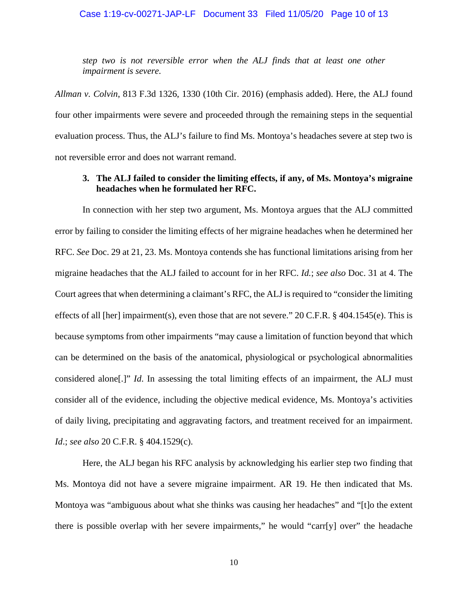### Case 1:19-cv-00271-JAP-LF Document 33 Filed 11/05/20 Page 10 of 13

*step two is not reversible error when the ALJ finds that at least one other impairment is severe.*

*Allman v. Colvin*, 813 F.3d 1326, 1330 (10th Cir. 2016) (emphasis added). Here, the ALJ found four other impairments were severe and proceeded through the remaining steps in the sequential evaluation process. Thus, the ALJ's failure to find Ms. Montoya's headaches severe at step two is not reversible error and does not warrant remand.

# **3. The ALJ failed to consider the limiting effects, if any, of Ms. Montoya's migraine headaches when he formulated her RFC.**

In connection with her step two argument, Ms. Montoya argues that the ALJ committed error by failing to consider the limiting effects of her migraine headaches when he determined her RFC. *See* Doc. 29 at 21, 23. Ms. Montoya contends she has functional limitations arising from her migraine headaches that the ALJ failed to account for in her RFC. *Id.*; *see also* Doc. 31 at 4. The Court agrees that when determining a claimant's RFC, the ALJ is required to "consider the limiting effects of all [her] impairment(s), even those that are not severe." 20 C.F.R. § 404.1545(e). This is because symptoms from other impairments "may cause a limitation of function beyond that which can be determined on the basis of the anatomical, physiological or psychological abnormalities considered alone[.]" *Id*. In assessing the total limiting effects of an impairment, the ALJ must consider all of the evidence, including the objective medical evidence, Ms. Montoya's activities of daily living, precipitating and aggravating factors, and treatment received for an impairment. *Id*.; *see also* 20 C.F.R. § 404.1529(c).

Here, the ALJ began his RFC analysis by acknowledging his earlier step two finding that Ms. Montoya did not have a severe migraine impairment. AR 19. He then indicated that Ms. Montoya was "ambiguous about what she thinks was causing her headaches" and "[t]o the extent there is possible overlap with her severe impairments," he would "carr[y] over" the headache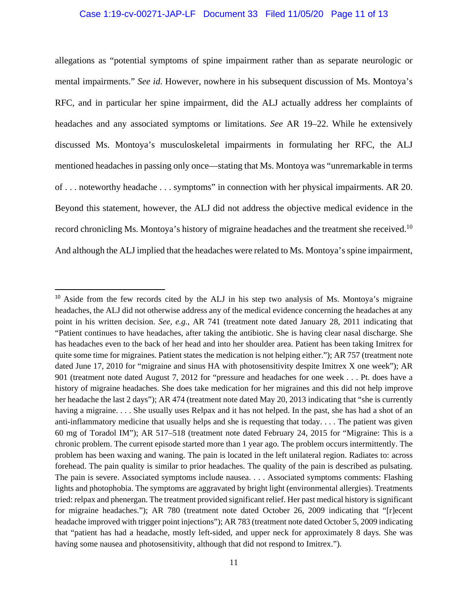## Case 1:19-cv-00271-JAP-LF Document 33 Filed 11/05/20 Page 11 of 13

allegations as "potential symptoms of spine impairment rather than as separate neurologic or mental impairments." *See id*. However, nowhere in his subsequent discussion of Ms. Montoya's RFC, and in particular her spine impairment, did the ALJ actually address her complaints of headaches and any associated symptoms or limitations. *See* AR 19–22. While he extensively discussed Ms. Montoya's musculoskeletal impairments in formulating her RFC, the ALJ mentioned headaches in passing only once—stating that Ms. Montoya was "unremarkable in terms of . . . noteworthy headache . . . symptoms" in connection with her physical impairments. AR 20. Beyond this statement, however, the ALJ did not address the objective medical evidence in the record chronicling Ms. Montoya's history of migraine headaches and the treatment she received.<sup>10</sup> And although the ALJ implied that the headaches were related to Ms. Montoya's spine impairment,

<sup>&</sup>lt;sup>10</sup> Aside from the few records cited by the ALJ in his step two analysis of Ms. Montoya's migraine headaches, the ALJ did not otherwise address any of the medical evidence concerning the headaches at any point in his written decision. *See, e.g.*, AR 741 (treatment note dated January 28, 2011 indicating that "Patient continues to have headaches, after taking the antibiotic. She is having clear nasal discharge. She has headaches even to the back of her head and into her shoulder area. Patient has been taking Imitrex for quite some time for migraines. Patient states the medication is not helping either."); AR 757 (treatment note dated June 17, 2010 for "migraine and sinus HA with photosensitivity despite Imitrex X one week"); AR 901 (treatment note dated August 7, 2012 for "pressure and headaches for one week . . . Pt. does have a history of migraine headaches. She does take medication for her migraines and this did not help improve her headache the last 2 days"); AR 474 (treatment note dated May 20, 2013 indicating that "she is currently having a migraine. . . . She usually uses Relpax and it has not helped. In the past, she has had a shot of an anti-inflammatory medicine that usually helps and she is requesting that today. . . . The patient was given 60 mg of Toradol IM"); AR 517–518 (treatment note dated February 24, 2015 for "Migraine: This is a chronic problem. The current episode started more than 1 year ago. The problem occurs intermittently. The problem has been waxing and waning. The pain is located in the left unilateral region. Radiates to: across forehead. The pain quality is similar to prior headaches. The quality of the pain is described as pulsating. The pain is severe. Associated symptoms include nausea. . . . Associated symptoms comments: Flashing lights and photophobia. The symptoms are aggravated by bright light (environmental allergies). Treatments tried: relpax and phenergan. The treatment provided significant relief. Her past medical history is significant for migraine headaches."); AR 780 (treatment note dated October 26, 2009 indicating that "[r]ecent headache improved with trigger point injections"); AR 783 (treatment note dated October 5, 2009 indicating that "patient has had a headache, mostly left-sided, and upper neck for approximately 8 days. She was having some nausea and photosensitivity, although that did not respond to Imitrex.").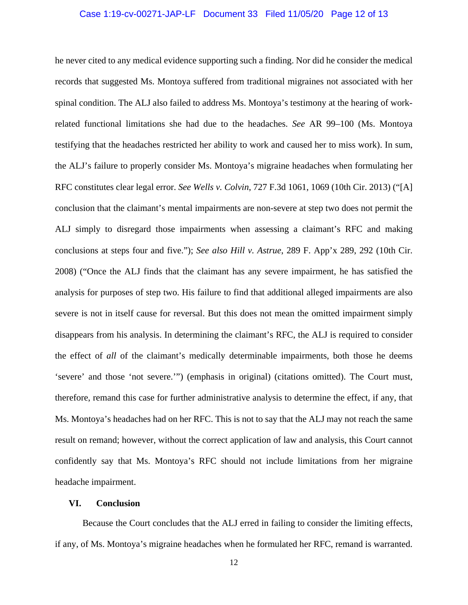### Case 1:19-cv-00271-JAP-LF Document 33 Filed 11/05/20 Page 12 of 13

he never cited to any medical evidence supporting such a finding. Nor did he consider the medical records that suggested Ms. Montoya suffered from traditional migraines not associated with her spinal condition. The ALJ also failed to address Ms. Montoya's testimony at the hearing of workrelated functional limitations she had due to the headaches. *See* AR 99–100 (Ms. Montoya testifying that the headaches restricted her ability to work and caused her to miss work). In sum, the ALJ's failure to properly consider Ms. Montoya's migraine headaches when formulating her RFC constitutes clear legal error. *See Wells v. Colvin*, 727 F.3d 1061, 1069 (10th Cir. 2013) ("[A] conclusion that the claimant's mental impairments are non-severe at step two does not permit the ALJ simply to disregard those impairments when assessing a claimant's RFC and making conclusions at steps four and five."); *See also Hill v. Astrue*, 289 F. App'x 289, 292 (10th Cir. 2008) ("Once the ALJ finds that the claimant has any severe impairment, he has satisfied the analysis for purposes of step two. His failure to find that additional alleged impairments are also severe is not in itself cause for reversal. But this does not mean the omitted impairment simply disappears from his analysis. In determining the claimant's RFC, the ALJ is required to consider the effect of *all* of the claimant's medically determinable impairments, both those he deems 'severe' and those 'not severe.'") (emphasis in original) (citations omitted). The Court must, therefore, remand this case for further administrative analysis to determine the effect, if any, that Ms. Montoya's headaches had on her RFC. This is not to say that the ALJ may not reach the same result on remand; however, without the correct application of law and analysis, this Court cannot confidently say that Ms. Montoya's RFC should not include limitations from her migraine headache impairment.

### **VI. Conclusion**

Because the Court concludes that the ALJ erred in failing to consider the limiting effects, if any, of Ms. Montoya's migraine headaches when he formulated her RFC, remand is warranted.